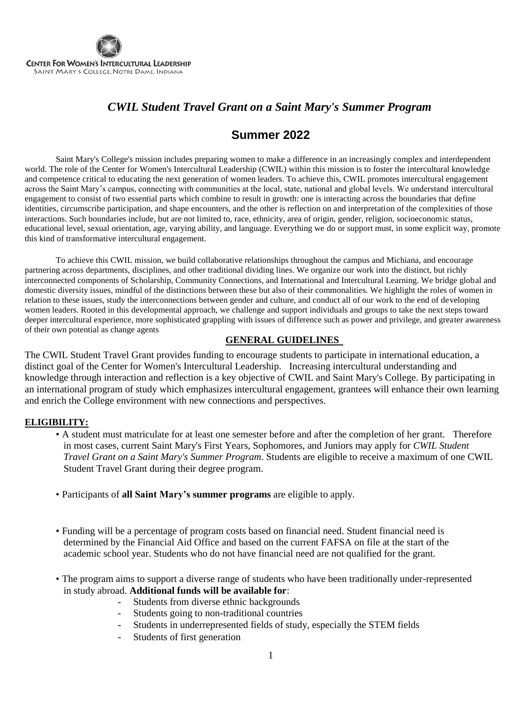

## *CWIL Student Travel Grant on a Saint Mary's Summer Program*

## **Summer 2022**

Saint Mary's College's mission includes preparing women to make a difference in an increasingly complex and interdependent world. The role of the Center for Women's Intercultural Leadership (CWIL) within this mission is to foster the intercultural knowledge and competence critical to educating the next generation of women leaders. To achieve this, CWIL promotes intercultural engagement across the Saint Mary's campus, connecting with communities at the local, state, national and global levels. We understand intercultural engagement to consist of two essential parts which combine to result in growth: one is interacting across the boundaries that define identities, circumscribe participation, and shape encounters, and the other is reflection on and interpretation of the complexities of those interactions. Such boundaries include, but are not limited to, race, ethnicity, area of origin, gender, religion, socioeconomic status, educational level, sexual orientation, age, varying ability, and language. Everything we do or support must, in some explicit way, promote this kind of transformative intercultural engagement.

To achieve this CWIL mission, we build collaborative relationships throughout the campus and Michiana, and encourage partnering across departments, disciplines, and other traditional dividing lines. We organize our work into the distinct, but richly interconnected components of Scholarship, Community Connections, and International and Intercultural Learning. We bridge global and domestic diversity issues, mindful of the distinctions between these but also of their commonalities. We highlight the roles of women in relation to these issues, study the interconnections between gender and culture, and conduct all of our work to the end of developing women leaders. Rooted in this developmental approach, we challenge and support individuals and groups to take the next steps toward deeper intercultural experience, more sophisticated grappling with issues of difference such as power and privilege, and greater awareness of their own potential as change agents

### **GENERAL GUIDELINES**

The CWIL Student Travel Grant provides funding to encourage students to participate in international education, a distinct goal of the Center for Women's Intercultural Leadership. Increasing intercultural understanding and knowledge through interaction and reflection is a key objective of CWIL and Saint Mary's College. By participating in an international program of study which emphasizes intercultural engagement, grantees will enhance their own learning and enrich the College environment with new connections and perspectives.

#### **ELIGIBILITY:**

- A student must matriculate for at least one semester before and after the completion of her grant. Therefore in most cases, current Saint Mary's First Years, Sophomores, and Juniors may apply for *CWIL Student Travel Grant on a Saint Mary's Summer Program*. Students are eligible to receive a maximum of one CWIL Student Travel Grant during their degree program.
- Participants of **all Saint Mary's summer programs** are eligible to apply.
- Funding will be a percentage of program costs based on financial need. Student financial need is determined by the Financial Aid Office and based on the current FAFSA on file at the start of the academic school year. Students who do not have financial need are not qualified for the grant.
- The program aims to support a diverse range of students who have been traditionally under-represented in study abroad. **Additional funds will be available for**:
	- Students from diverse ethnic backgrounds
	- Students going to non-traditional countries
	- Students in underrepresented fields of study, especially the STEM fields
	- Students of first generation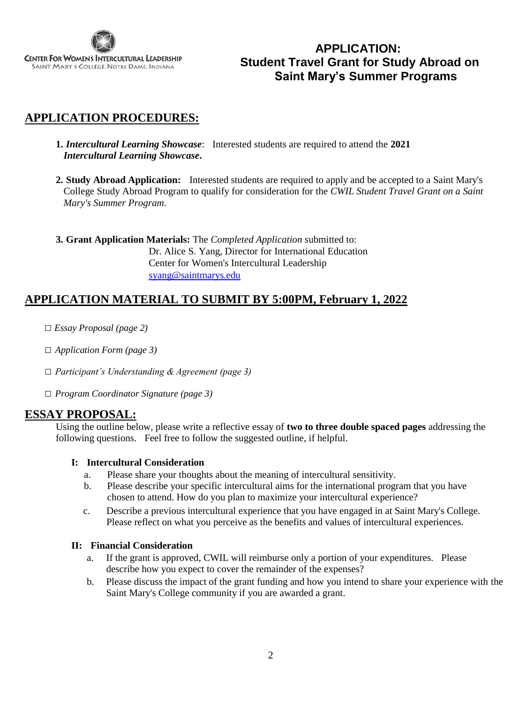

## **APPLICATION: Student Travel Grant for Study Abroad on Saint Mary's Summer Programs**

## **APPLICATION PROCEDURES:**

**1.** *Intercultural Learning Showcase*: Interested students are required to attend the **2021**  *Intercultural Learning Showcase***.** 

**2. Study Abroad Application:** Interested students are required to apply and be accepted to a Saint Mary's College Study Abroad Program to qualify for consideration for the *CWIL Student Travel Grant on a Saint Mary's Summer Program*.

**3. Grant Application Materials:** The *Completed Application s*ubmitted to: Dr. Alice S. Yang, Director for International Education Center for Women's Intercultural Leadership [syang@saintmarys.edu](mailto:syang@saintmarys.edu)

### **APPLICATION MATERIAL TO SUBMIT BY 5:00PM, February 1, 2022**

- □ *Essay Proposal (page 2)*
- □ *Application Form (page 3)*
- □ *Participant's Understanding & Agreement (page 3)*
- □ *Program Coordinator Signature (page 3)*

### **ESSAY PROPOSAL:**

Using the outline below, please write a reflective essay of **two to three double spaced pages** addressing the following questions. Feel free to follow the suggested outline, if helpful.

### **I: Intercultural Consideration**

- a. Please share your thoughts about the meaning of intercultural sensitivity.
- b. Please describe your specific intercultural aims for the international program that you have chosen to attend. How do you plan to maximize your intercultural experience?
- c. Describe a previous intercultural experience that you have engaged in at Saint Mary's College. Please reflect on what you perceive as the benefits and values of intercultural experiences.

#### **II: Financial Consideration**

- a. If the grant is approved, CWIL will reimburse only a portion of your expenditures. Please describe how you expect to cover the remainder of the expenses?
- b. Please discuss the impact of the grant funding and how you intend to share your experience with the Saint Mary's College community if you are awarded a grant.